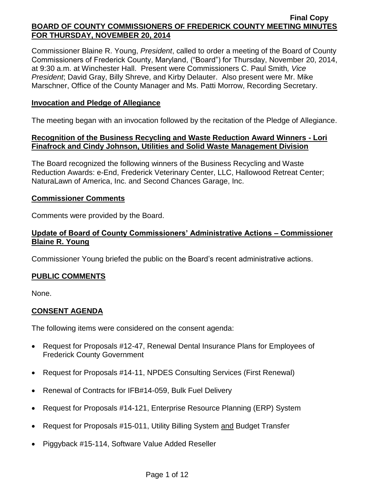Commissioner Blaine R. Young, *President*, called to order a meeting of the Board of County Commissioners of Frederick County, Maryland, ("Board") for Thursday, November 20, 2014, at 9:30 a.m. at Winchester Hall. Present were Commissioners C. Paul Smith*, Vice President*; David Gray, Billy Shreve, and Kirby Delauter. Also present were Mr. Mike Marschner, Office of the County Manager and Ms. Patti Morrow, Recording Secretary.

### **Invocation and Pledge of Allegiance**

The meeting began with an invocation followed by the recitation of the Pledge of Allegiance.

### **Recognition of the Business Recycling and Waste Reduction Award Winners - Lori Finafrock and Cindy Johnson, Utilities and Solid Waste Management Division**

The Board recognized the following winners of the Business Recycling and Waste Reduction Awards: e-End, Frederick Veterinary Center, LLC, Hallowood Retreat Center; NaturaLawn of America, Inc. and Second Chances Garage, Inc.

## **Commissioner Comments**

Comments were provided by the Board.

## **Update of Board of County Commissioners' Administrative Actions – Commissioner Blaine R. Young**

Commissioner Young briefed the public on the Board's recent administrative actions.

## **PUBLIC COMMENTS**

None.

## **CONSENT AGENDA**

The following items were considered on the consent agenda:

- Request for Proposals #12-47, Renewal Dental Insurance Plans for Employees of Frederick County Government
- Request for Proposals #14-11, NPDES Consulting Services (First Renewal)
- Renewal of Contracts for IFB#14-059, Bulk Fuel Delivery
- Request for Proposals #14-121, Enterprise Resource Planning (ERP) System
- Request for Proposals #15-011, Utility Billing System and Budget Transfer
- Piggyback #15-114, Software Value Added Reseller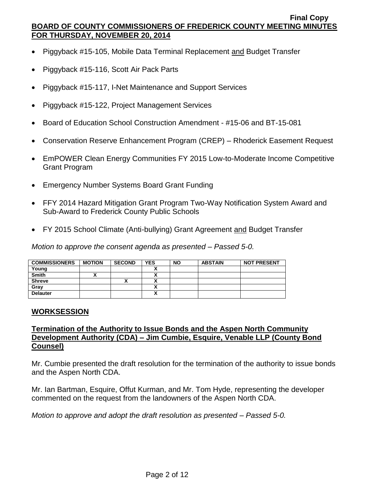- Piggyback #15-105, Mobile Data Terminal Replacement and Budget Transfer
- Piggyback #15-116, Scott Air Pack Parts
- Piggyback #15-117, I-Net Maintenance and Support Services
- Piggyback #15-122, Project Management Services
- Board of Education School Construction Amendment #15-06 and BT-15-081
- Conservation Reserve Enhancement Program (CREP) Rhoderick Easement Request
- EmPOWER Clean Energy Communities FY 2015 Low-to-Moderate Income Competitive Grant Program
- Emergency Number Systems Board Grant Funding
- FFY 2014 Hazard Mitigation Grant Program Two-Way Notification System Award and Sub-Award to Frederick County Public Schools
- FY 2015 School Climate (Anti-bullying) Grant Agreement and Budget Transfer

*Motion to approve the consent agenda as presented – Passed 5-0.*

| <b>COMMISSIONERS</b> | <b>MOTION</b> | <b>SECOND</b> | <b>YES</b> | <b>NO</b> | <b>ABSTAIN</b> | <b>NOT PRESENT</b> |
|----------------------|---------------|---------------|------------|-----------|----------------|--------------------|
| Young                |               |               |            |           |                |                    |
| <b>Smith</b>         |               |               |            |           |                |                    |
| <b>Shreve</b>        |               | "             |            |           |                |                    |
| Grav                 |               |               |            |           |                |                    |
| <b>Delauter</b>      |               |               | ↗          |           |                |                    |

## **WORKSESSION**

## **Termination of the Authority to Issue Bonds and the Aspen North Community Development Authority (CDA) – Jim Cumbie, Esquire, Venable LLP (County Bond Counsel)**

Mr. Cumbie presented the draft resolution for the termination of the authority to issue bonds and the Aspen North CDA.

Mr. Ian Bartman, Esquire, Offut Kurman, and Mr. Tom Hyde, representing the developer commented on the request from the landowners of the Aspen North CDA.

*Motion to approve and adopt the draft resolution as presented – Passed 5-0.*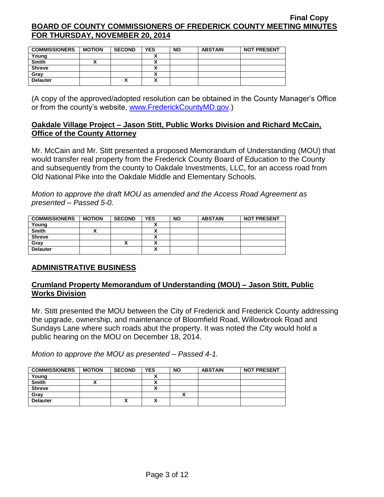| <b>COMMISSIONERS</b> | <b>MOTION</b> | <b>SECOND</b> | <b>YES</b> | <b>NO</b> | <b>ABSTAIN</b> | <b>NOT PRESENT</b> |
|----------------------|---------------|---------------|------------|-----------|----------------|--------------------|
| Young                |               |               |            |           |                |                    |
| <b>Smith</b>         |               |               |            |           |                |                    |
| <b>Shreve</b>        |               |               |            |           |                |                    |
| Gray                 |               |               |            |           |                |                    |
| <b>Delauter</b>      |               | Λ             |            |           |                |                    |

(A copy of the approved/adopted resolution can be obtained in the County Manager's Office or from the county's website, [www.FrederickCountyMD.gov.](http://www.frederickcountymd.gov/))

## **Oakdale Village Project – Jason Stitt, Public Works Division and Richard McCain, Office of the County Attorney**

Mr. McCain and Mr. Stitt presented a proposed Memorandum of Understanding (MOU) that would transfer real property from the Frederick County Board of Education to the County and subsequently from the county to Oakdale Investments, LLC, for an access road from Old National Pike into the Oakdale Middle and Elementary Schools.

*Motion to approve the draft MOU as amended and the Access Road Agreement as presented – Passed 5-0.*

| <b>COMMISSIONERS</b> | <b>MOTION</b> | <b>SECOND</b> | <b>YES</b> | <b>NO</b> | <b>ABSTAIN</b> | <b>NOT PRESENT</b> |
|----------------------|---------------|---------------|------------|-----------|----------------|--------------------|
| Young                |               |               |            |           |                |                    |
| <b>Smith</b>         |               |               |            |           |                |                    |
| <b>Shreve</b>        |               |               | ↗          |           |                |                    |
| Gray                 |               | ↗             | ~          |           |                |                    |
| <b>Delauter</b>      |               |               | n          |           |                |                    |

## **ADMINISTRATIVE BUSINESS**

## **Crumland Property Memorandum of Understanding (MOU) – Jason Stitt, Public Works Division**

Mr. Stitt presented the MOU between the City of Frederick and Frederick County addressing the upgrade, ownership, and maintenance of Bloomfield Road, Willowbrook Road and Sundays Lane where such roads abut the property. It was noted the City would hold a public hearing on the MOU on December 18, 2014.

*Motion to approve the MOU as presented – Passed 4-1.*

| <b>COMMISSIONERS</b> | <b>MOTION</b> | <b>SECOND</b> | <b>YES</b>               | <b>NO</b> | <b>ABSTAIN</b> | <b>NOT PRESENT</b> |
|----------------------|---------------|---------------|--------------------------|-----------|----------------|--------------------|
| Young                |               |               |                          |           |                |                    |
| <b>Smith</b>         |               |               |                          |           |                |                    |
| <b>Shreve</b>        |               |               |                          |           |                |                    |
| Gray                 |               |               |                          |           |                |                    |
| <b>Delauter</b>      |               | Λ             | $\overline{\phantom{a}}$ |           |                |                    |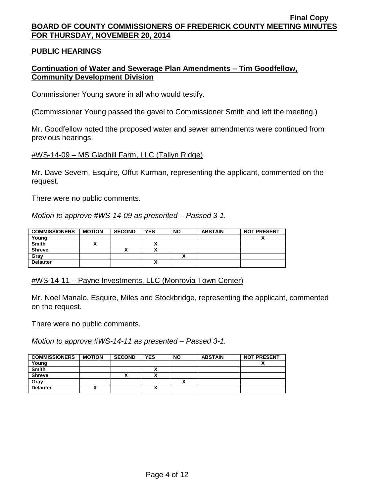## **PUBLIC HEARINGS**

## **Continuation of Water and Sewerage Plan Amendments – Tim Goodfellow, Community Development Division**

Commissioner Young swore in all who would testify.

(Commissioner Young passed the gavel to Commissioner Smith and left the meeting.)

Mr. Goodfellow noted tthe proposed water and sewer amendments were continued from previous hearings.

#WS-14-09 – MS Gladhill Farm, LLC (Tallyn Ridge)

Mr. Dave Severn, Esquire, Offut Kurman, representing the applicant, commented on the request.

There were no public comments.

*Motion to approve #WS-14-09 as presented – Passed 3-1.*

| <b>COMMISSIONERS</b> | <b>MOTION</b> | <b>SECOND</b> | <b>YES</b> | <b>NO</b> | <b>ABSTAIN</b> | <b>NOT PRESENT</b> |
|----------------------|---------------|---------------|------------|-----------|----------------|--------------------|
| Young                |               |               |            |           |                |                    |
| <b>Smith</b>         |               |               | ^          |           |                |                    |
| <b>Shreve</b>        |               | "             | ٠.<br>~    |           |                |                    |
| Gray                 |               |               |            |           |                |                    |
| <b>Delauter</b>      |               |               |            |           |                |                    |

#WS-14-11 – Payne Investments, LLC (Monrovia Town Center)

Mr. Noel Manalo, Esquire, Miles and Stockbridge, representing the applicant, commented on the request.

There were no public comments.

*Motion to approve #WS-14-11 as presented – Passed 3-1.*

| <b>COMMISSIONERS</b> | <b>MOTION</b> | <b>SECOND</b> | <b>YES</b> | <b>NO</b> | <b>ABSTAIN</b> | <b>NOT PRESENT</b> |
|----------------------|---------------|---------------|------------|-----------|----------------|--------------------|
| Young                |               |               |            |           |                |                    |
| <b>Smith</b>         |               |               |            |           |                |                    |
| <b>Shreve</b>        |               | ́             | v<br>      |           |                |                    |
| Gray                 |               |               |            |           |                |                    |
| <b>Delauter</b>      |               |               | ٠.<br>Λ    |           |                |                    |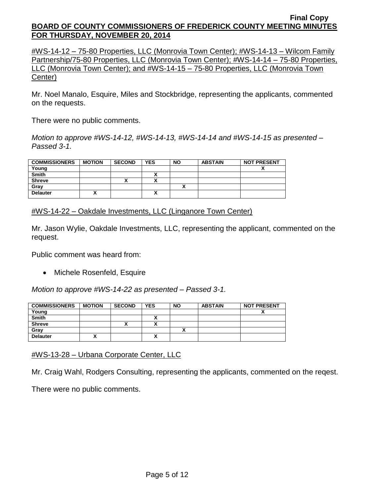#WS-14-12 – 75-80 Properties, LLC (Monrovia Town Center); #WS-14-13 – Wilcom Family Partnership/75-80 Properties, LLC (Monrovia Town Center); #WS-14-14 – 75-80 Properties, LLC (Monrovia Town Center); and #WS-14-15 – 75-80 Properties, LLC (Monrovia Town Center)

Mr. Noel Manalo, Esquire, Miles and Stockbridge, representing the applicants, commented on the requests.

There were no public comments.

*Motion to approve #WS-14-12, #WS-14-13, #WS-14-14 and #WS-14-15 as presented – Passed 3-1.*

| <b>COMMISSIONERS</b> | <b>MOTION</b> | <b>SECOND</b> | <b>YES</b> | <b>NO</b> | <b>ABSTAIN</b> | <b>NOT PRESENT</b> |
|----------------------|---------------|---------------|------------|-----------|----------------|--------------------|
| Young                |               |               |            |           |                |                    |
| <b>Smith</b>         |               |               | ~          |           |                |                    |
| <b>Shreve</b>        |               |               |            |           |                |                    |
| Gray                 |               |               |            |           |                |                    |
| <b>Delauter</b>      | ~             |               | Λ          |           |                |                    |

#WS-14-22 – Oakdale Investments, LLC (Linganore Town Center)

Mr. Jason Wylie, Oakdale Investments, LLC, representing the applicant, commented on the request.

Public comment was heard from:

• Michele Rosenfeld, Esquire

*Motion to approve #WS-14-22 as presented – Passed 3-1.*

## #WS-13-28 – Urbana Corporate Center, LLC

Mr. Craig Wahl, Rodgers Consulting, representing the applicants, commented on the reqest.

There were no public comments.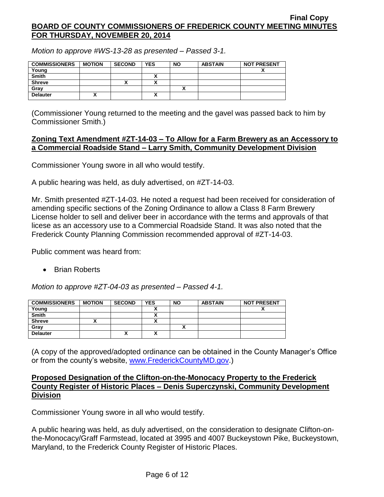*Motion to approve #WS-13-28 as presented – Passed 3-1.*

| <b>COMMISSIONERS</b> | <b>MOTION</b> | <b>SECOND</b> | <b>YES</b> | <b>NO</b> | <b>ABSTAIN</b> | <b>NOT PRESENT</b> |
|----------------------|---------------|---------------|------------|-----------|----------------|--------------------|
| Young                |               |               |            |           |                | ,,                 |
| <b>Smith</b>         |               |               | ^          |           |                |                    |
| <b>Shreve</b>        |               | Λ             | Λ          |           |                |                    |
| Gray                 |               |               |            |           |                |                    |
| <b>Delauter</b>      |               |               | v<br>A     |           |                |                    |

(Commissioner Young returned to the meeting and the gavel was passed back to him by Commissioner Smith.)

#### **Zoning Text Amendment #ZT-14-03 – To Allow for a Farm Brewery as an Accessory to a Commercial Roadside Stand – Larry Smith, Community Development Division**

Commissioner Young swore in all who would testify.

A public hearing was held, as duly advertised, on #ZT-14-03.

Mr. Smith presented #ZT-14-03. He noted a request had been received for consideration of amending specific sections of the Zoning Ordinance to allow a Class 8 Farm Brewery License holder to sell and deliver beer in accordance with the terms and approvals of that licese as an accessory use to a Commercial Roadside Stand. It was also noted that the Frederick County Planning Commission recommended approval of #ZT-14-03.

Public comment was heard from:

• Brian Roberts

*Motion to approve #ZT-04-03 as presented – Passed 4-1.*

| <b>COMMISSIONERS</b> | <b>MOTION</b> | <b>SECOND</b> | <b>YES</b>               | <b>NO</b> | <b>ABSTAIN</b> | <b>NOT PRESENT</b> |
|----------------------|---------------|---------------|--------------------------|-----------|----------------|--------------------|
| Young                |               |               |                          |           |                |                    |
| <b>Smith</b>         |               |               |                          |           |                |                    |
| <b>Shreve</b>        |               |               | ~                        |           |                |                    |
| Gray                 |               |               |                          |           |                |                    |
| <b>Delauter</b>      |               | Λ             | $\overline{\phantom{a}}$ |           |                |                    |

(A copy of the approved/adopted ordinance can be obtained in the County Manager's Office or from the county's website, [www.FrederickCountyMD.gov.](http://www.frederickcountymd.gov/))

### **Proposed Designation of the Clifton-on-the-Monocacy Property to the Frederick County Register of Historic Places – Denis Superczynski, Community Development Division**

Commissioner Young swore in all who would testify.

A public hearing was held, as duly advertised, on the consideration to designate Clifton-onthe-Monocacy/Graff Farmstead, located at 3995 and 4007 Buckeystown Pike, Buckeystown, Maryland, to the Frederick County Register of Historic Places.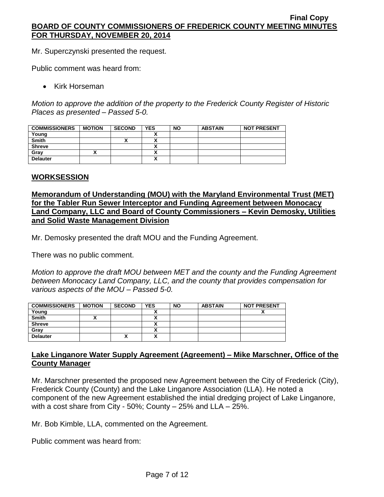Mr. Superczynski presented the request.

Public comment was heard from:

• Kirk Horseman

*Motion to approve the addition of the property to the Frederick County Register of Historic Places as presented – Passed 5-0.*

| <b>COMMISSIONERS</b> | <b>MOTION</b> | <b>SECOND</b> | <b>YES</b>                   | <b>NO</b> | <b>ABSTAIN</b> | <b>NOT PRESENT</b> |
|----------------------|---------------|---------------|------------------------------|-----------|----------------|--------------------|
| Young                |               |               |                              |           |                |                    |
| <b>Smith</b>         |               |               |                              |           |                |                    |
| <b>Shreve</b>        |               |               |                              |           |                |                    |
| Gray                 |               |               |                              |           |                |                    |
| <b>Delauter</b>      |               |               | ۰.<br>$\mathbf{\mathcal{L}}$ |           |                |                    |

## **WORKSESSION**

## **Memorandum of Understanding (MOU) with the Maryland Environmental Trust (MET) for the Tabler Run Sewer Interceptor and Funding Agreement between Monocacy Land Company, LLC and Board of County Commissioners – Kevin Demosky, Utilities and Solid Waste Management Division**

Mr. Demosky presented the draft MOU and the Funding Agreement.

There was no public comment.

*Motion to approve the draft MOU between MET and the county and the Funding Agreement between Monocacy Land Company, LLC, and the county that provides compensation for various aspects of the MOU – Passed 5-0.*

| <b>COMMISSIONERS</b> | <b>MOTION</b> | <b>SECOND</b> | <b>YES</b> | <b>NO</b> | <b>ABSTAIN</b> | <b>NOT PRESENT</b> |
|----------------------|---------------|---------------|------------|-----------|----------------|--------------------|
| Young                |               |               |            |           |                |                    |
| <b>Smith</b>         |               |               |            |           |                |                    |
| <b>Shreve</b>        |               |               |            |           |                |                    |
| Gray                 |               |               |            |           |                |                    |
| <b>Delauter</b>      |               | Λ             | A          |           |                |                    |

## **Lake Linganore Water Supply Agreement (Agreement) – Mike Marschner, Office of the County Manager**

Mr. Marschner presented the proposed new Agreement between the City of Frederick (City), Frederick County (County) and the Lake Linganore Association (LLA). He noted a component of the new Agreement established the intial dredging project of Lake Linganore, with a cost share from City - 50%; County – 25% and LLA – 25%.

Mr. Bob Kimble, LLA, commented on the Agreement.

Public comment was heard from: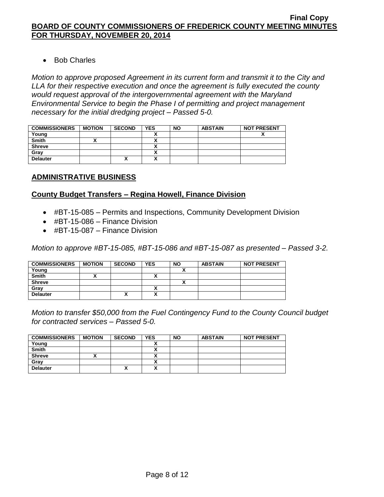• Bob Charles

*Motion to approve proposed Agreement in its current form and transmit it to the City and LLA for their respective execution and once the agreement is fully executed the county would request approval of the intergovernmental agreement with the Maryland Environmental Service to begin the Phase I of permitting and project management necessary for the initial dredging project – Passed 5-0.*

| <b>COMMISSIONERS</b> | <b>MOTION</b> | <b>SECOND</b> | <b>YES</b> | <b>NO</b> | <b>ABSTAIN</b> | <b>NOT PRESENT</b> |
|----------------------|---------------|---------------|------------|-----------|----------------|--------------------|
| Young                |               |               |            |           |                |                    |
| <b>Smith</b>         |               |               |            |           |                |                    |
| <b>Shreve</b>        |               |               |            |           |                |                    |
| Gray                 |               |               |            |           |                |                    |
| <b>Delauter</b>      |               | Λ             |            |           |                |                    |

## **ADMINISTRATIVE BUSINESS**

## **County Budget Transfers – Regina Howell, Finance Division**

- #BT-15-085 Permits and Inspections, Community Development Division
- #BT-15-086 Finance Division
- #BT-15-087 Finance Division

*Motion to approve #BT-15-085, #BT-15-086 and #BT-15-087 as presented – Passed 3-2.*

| <b>COMMISSIONERS</b> | <b>MOTION</b> | <b>SECOND</b> | <b>YES</b> | <b>NO</b> | <b>ABSTAIN</b> | <b>NOT PRESENT</b> |
|----------------------|---------------|---------------|------------|-----------|----------------|--------------------|
| Young                |               |               |            |           |                |                    |
| <b>Smith</b>         |               |               |            |           |                |                    |
| <b>Shreve</b>        |               |               |            |           |                |                    |
| Gray                 |               |               |            |           |                |                    |
| <b>Delauter</b>      |               | Λ             |            |           |                |                    |

*Motion to transfer \$50,000 from the Fuel Contingency Fund to the County Council budget for contracted services – Passed 5-0.*

| <b>COMMISSIONERS</b> | <b>MOTION</b> | <b>SECOND</b> | <b>YES</b> | <b>NO</b> | <b>ABSTAIN</b> | <b>NOT PRESENT</b> |
|----------------------|---------------|---------------|------------|-----------|----------------|--------------------|
| Young                |               |               |            |           |                |                    |
| <b>Smith</b>         |               |               |            |           |                |                    |
| <b>Shreve</b>        |               |               |            |           |                |                    |
| Gray                 |               |               |            |           |                |                    |
| <b>Delauter</b>      |               | Λ             |            |           |                |                    |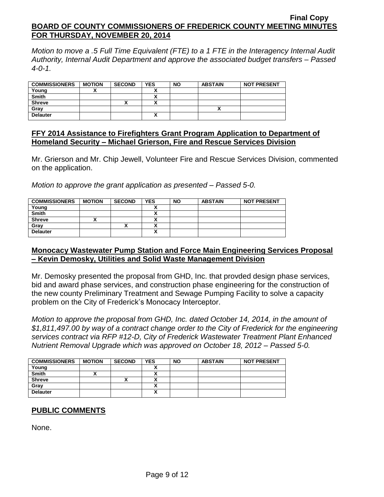*Motion to move a .5 Full Time Equivalent (FTE) to a 1 FTE in the Interagency Internal Audit Authority, Internal Audit Department and approve the associated budget transfers – Passed 4-0-1.*

| <b>COMMISSIONERS</b> | <b>MOTION</b> | <b>SECOND</b> | <b>YES</b> | <b>NO</b> | <b>ABSTAIN</b> | <b>NOT PRESENT</b> |
|----------------------|---------------|---------------|------------|-----------|----------------|--------------------|
| Young                |               |               |            |           |                |                    |
| <b>Smith</b>         |               |               |            |           |                |                    |
| <b>Shreve</b>        |               |               |            |           |                |                    |
| Gray                 |               |               |            |           |                |                    |
| <b>Delauter</b>      |               |               | ٠.<br>~    |           |                |                    |

### **FFY 2014 Assistance to Firefighters Grant Program Application to Department of Homeland Security – Michael Grierson, Fire and Rescue Services Division**

Mr. Grierson and Mr. Chip Jewell, Volunteer Fire and Rescue Services Division, commented on the application.

*Motion to approve the grant application as presented – Passed 5-0.*

| <b>COMMISSIONERS</b> | <b>MOTION</b> | <b>SECOND</b> | <b>YES</b> | <b>NO</b> | <b>ABSTAIN</b> | <b>NOT PRESENT</b> |
|----------------------|---------------|---------------|------------|-----------|----------------|--------------------|
| Young                |               |               |            |           |                |                    |
| <b>Smith</b>         |               |               |            |           |                |                    |
| <b>Shreve</b>        |               |               | n          |           |                |                    |
| Gray                 |               | ́             |            |           |                |                    |
| <b>Delauter</b>      |               |               |            |           |                |                    |

## **Monocacy Wastewater Pump Station and Force Main Engineering Services Proposal – Kevin Demosky, Utilities and Solid Waste Management Division**

Mr. Demosky presented the proposal from GHD, Inc. that provded design phase services, bid and award phase services, and construction phase engineering for the construction of the new county Preliminary Treatment and Sewage Pumping Facility to solve a capacity problem on the City of Frederick's Monocacy Interceptor.

*Motion to approve the proposal from GHD, Inc. dated October 14, 2014, in the amount of \$1,811,497.00 by way of a contract change order to the City of Frederick for the engineering services contract via RFP #12-D, City of Frederick Wastewater Treatment Plant Enhanced Nutrient Removal Upgrade which was approved on October 18, 2012 – Passed 5-0.*

| <b>COMMISSIONERS</b> | <b>MOTION</b> | <b>SECOND</b> | <b>YES</b> | <b>NO</b> | <b>ABSTAIN</b> | <b>NOT PRESENT</b> |
|----------------------|---------------|---------------|------------|-----------|----------------|--------------------|
| Young                |               |               |            |           |                |                    |
| <b>Smith</b>         |               |               |            |           |                |                    |
| <b>Shreve</b>        |               |               |            |           |                |                    |
| Gray                 |               |               |            |           |                |                    |
| <b>Delauter</b>      |               |               | ~          |           |                |                    |

## **PUBLIC COMMENTS**

None.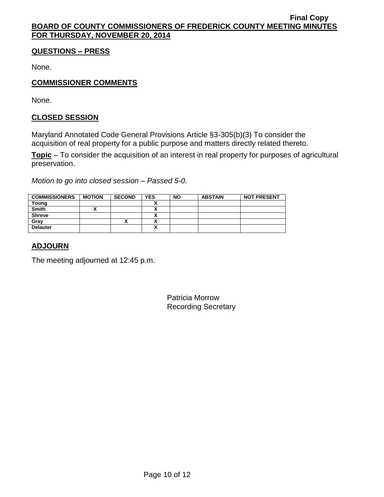## **QUESTIONS – PRESS**

None.

# **COMMISSIONER COMMENTS**

None.

# **CLOSED SESSION**

Maryland Annotated Code General Provisions Article §3-305(b)(3) To consider the acquisition of real property for a public purpose and matters directly related thereto.

**Topic** – To consider the acquisition of an interest in real property for purposes of agricultural preservation.

*Motion to go into closed session – Passed 5-0.*

| <b>COMMISSIONERS</b> | <b>MOTION</b> | <b>SECOND</b> | <b>YES</b> | <b>NO</b> | <b>ABSTAIN</b> | <b>NOT PRESENT</b> |
|----------------------|---------------|---------------|------------|-----------|----------------|--------------------|
| Young                |               |               |            |           |                |                    |
| <b>Smith</b>         |               |               |            |           |                |                    |
| <b>Shreve</b>        |               |               |            |           |                |                    |
| Gray                 |               | "             |            |           |                |                    |
| <b>Delauter</b>      |               |               |            |           |                |                    |

# **ADJOURN**

The meeting adjourned at 12:45 p.m.

Patricia Morrow Recording Secretary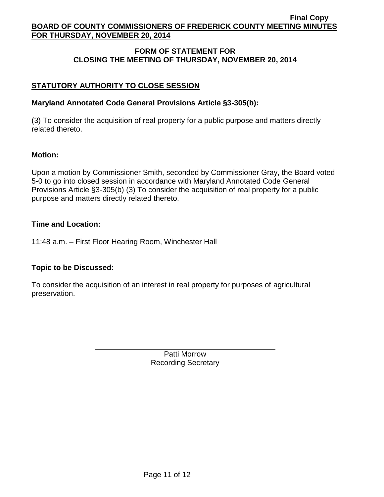## **FORM OF STATEMENT FOR CLOSING THE MEETING OF THURSDAY, NOVEMBER 20, 2014**

# **STATUTORY AUTHORITY TO CLOSE SESSION**

# **Maryland Annotated Code General Provisions Article §3-305(b):**

(3) To consider the acquisition of real property for a public purpose and matters directly related thereto.

## **Motion:**

Upon a motion by Commissioner Smith, seconded by Commissioner Gray, the Board voted 5-0 to go into closed session in accordance with Maryland Annotated Code General Provisions Article §3-305(b) (3) To consider the acquisition of real property for a public purpose and matters directly related thereto.

## **Time and Location:**

11:48 a.m. – First Floor Hearing Room, Winchester Hall

## **Topic to be Discussed:**

To consider the acquisition of an interest in real property for purposes of agricultural preservation.

> Patti Morrow Recording Secretary